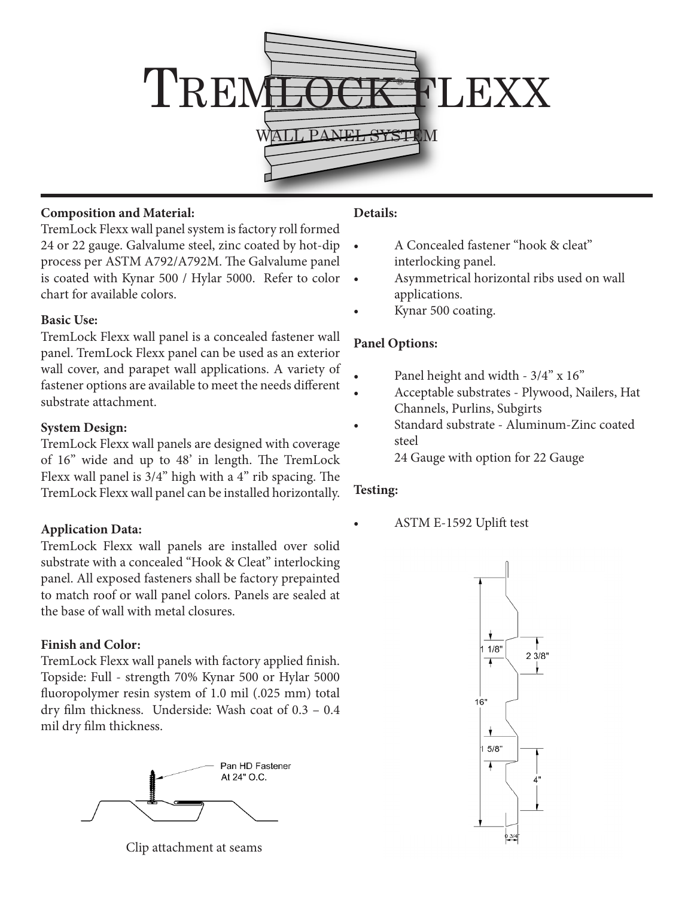

### **Composition and Material:**

TremLock Flexx wall panel system is factory roll formed 24 or 22 gauge. Galvalume steel, zinc coated by hot-dip process per ASTM A792/A792M. The Galvalume panel is coated with Kynar 500 / Hylar 5000. Refer to color chart for available colors.

#### **Basic Use:**

TremLock Flexx wall panel is a concealed fastener wall panel. TremLock Flexx panel can be used as an exterior wall cover, and parapet wall applications. A variety of fastener options are available to meet the needs different substrate attachment.

## **System Design:**

TremLock Flexx wall panels are designed with coverage of 16" wide and up to 48' in length. The TremLock Flexx wall panel is 3/4" high with a 4" rib spacing. The TremLock Flexx wall panel can be installed horizontally.

## **Application Data:**

TremLock Flexx wall panels are installed over solid substrate with a concealed "Hook & Cleat" interlocking panel. All exposed fasteners shall be factory prepainted to match roof or wall panel colors. Panels are sealed at the base of wall with metal closures.

## **Finish and Color:**

TremLock Flexx wall panels with factory applied finish. Topside: Full - strength 70% Kynar 500 or Hylar 5000 fluoropolymer resin system of 1.0 mil (.025 mm) total dry film thickness. Underside: Wash coat of 0.3 – 0.4 mil dry film thickness.



Clip attachment at seams

# **Details:**

- A Concealed fastener "hook & cleat" interlocking panel.
- Asymmetrical horizontal ribs used on wall applications.
- Kynar 500 coating.

# **Panel Options:**

- Panel height and width 3/4" x 16"
- Acceptable substrates Plywood, Nailers, Hat Channels, Purlins, Subgirts
- Standard substrate Aluminum-Zinc coated steel
	- 24 Gauge with option for 22 Gauge

## **Testing:**

ASTM E-1592 Uplift test